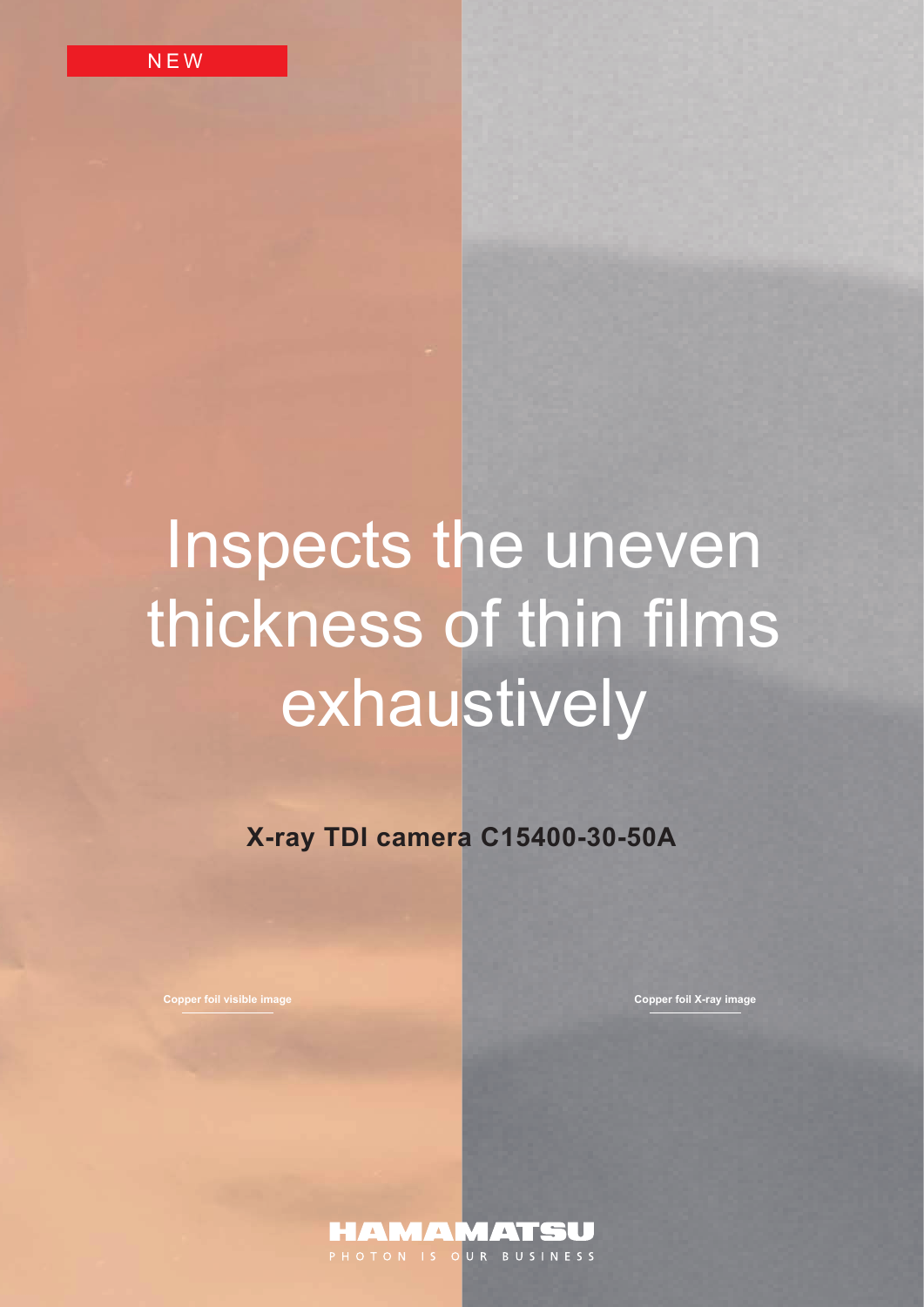# Inspects the uneven thickness of thin films exhaustively

**X-ray TDI camera C15400-30-50A**

**Copper foil visible image Copper foil X-ray image**

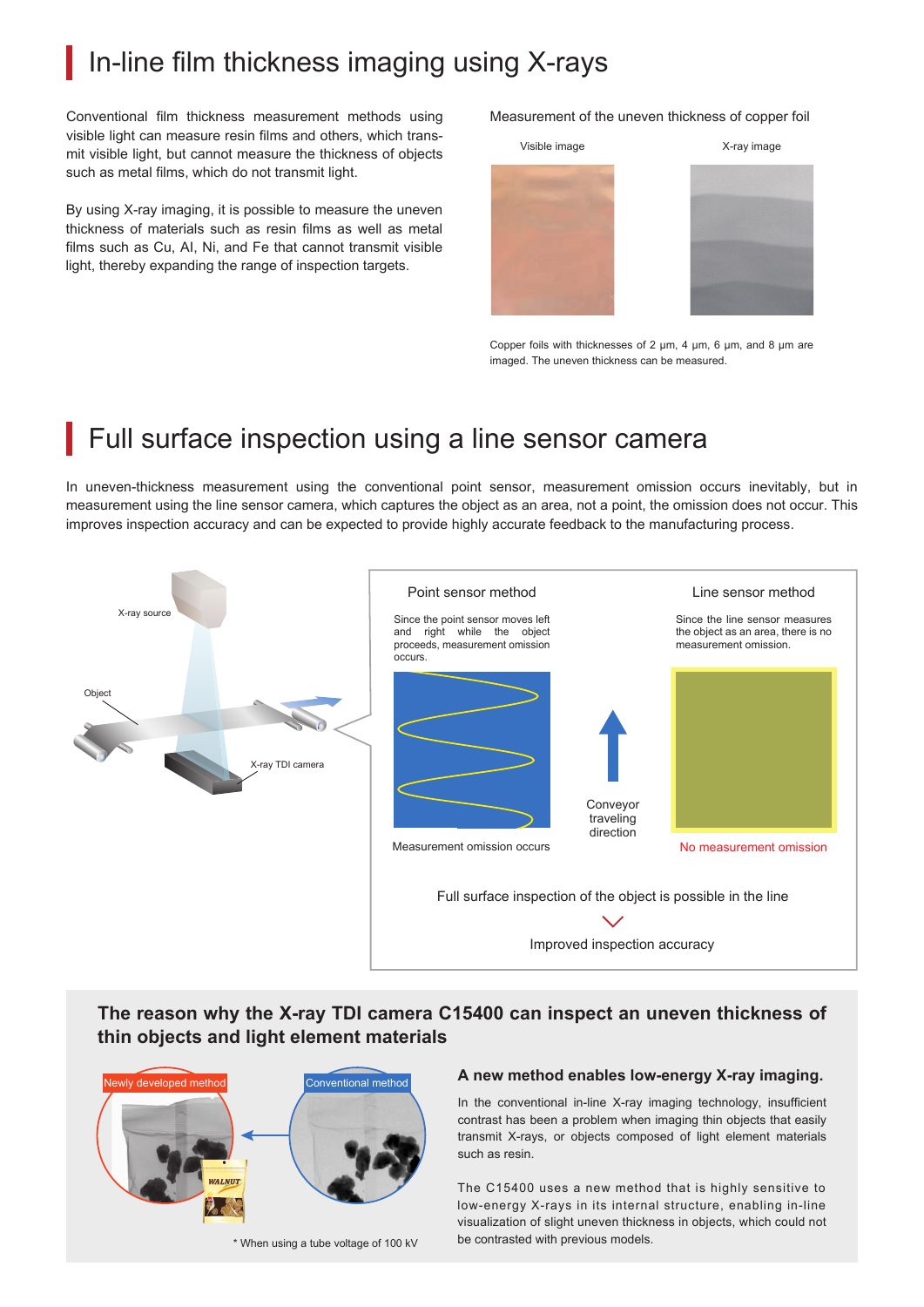## In-line film thickness imaging using X-rays

Conventional film thickness measurement methods using visible light can measure resin films and others, which transmit visible light, but cannot measure the thickness of objects such as metal films, which do not transmit light.

By using X-ray imaging, it is possible to measure the uneven thickness of materials such as resin films as well as metal films such as Cu, AI, Ni, and Fe that cannot transmit visible light, thereby expanding the range of inspection targets.

Measurement of the uneven thickness of copper foil



Copper foils with thicknesses of 2 μm, 4 μm, 6 μm, and 8 μm are imaged. The uneven thickness can be measured.

## Full surface inspection using a line sensor camera

In uneven-thickness measurement using the conventional point sensor, measurement omission occurs inevitably, but in measurement using the line sensor camera, which captures the object as an area, not a point, the omission does not occur. This improves inspection accuracy and can be expected to provide highly accurate feedback to the manufacturing process.



**The reason why the X-ray TDI camera C15400 can inspect an uneven thickness of thin objects and light element materials**



\* When using a tube voltage of 100 kV

#### **A new method enables low-energy X-ray imaging.**

In the conventional in-line X-ray imaging technology, insufficient contrast has been a problem when imaging thin objects that easily transmit X-rays, or objects composed of light element materials such as resin.

The C15400 uses a new method that is highly sensitive to low-energy X-rays in its internal structure, enabling in-line visualization of slight uneven thickness in objects, which could not be contrasted with previous models.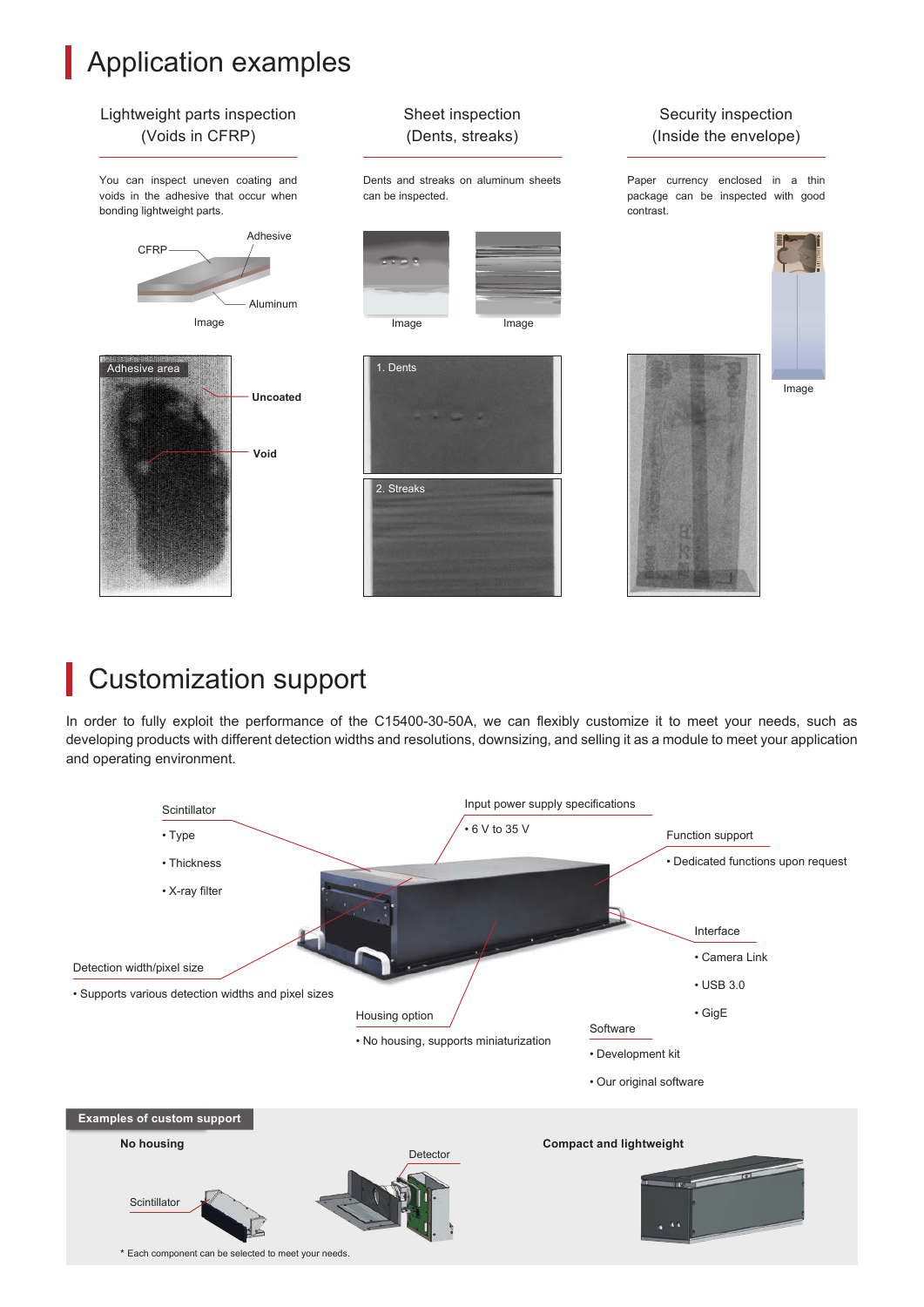# **Application examples**



## Customization support

In order to fully exploit the performance of the C15400-30-50A, we can flexibly customize it to meet your needs, such as developing products with different detection widths and resolutions, downsizing, and selling it as a module to meet your application and operating environment.